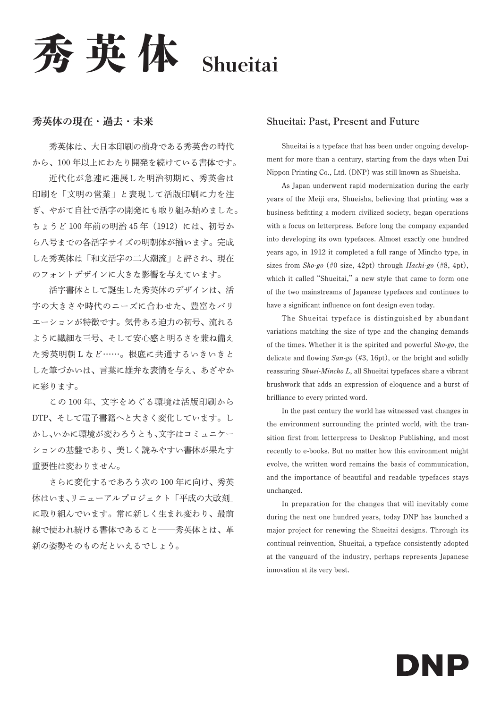英体 Shueitai

### 秀英体の現在・過去・未来

秀英体は、大日本印刷の前身である秀英舎の時代 から、100 年以上にわたり開発を続けている書体です。

近代化が急速に進展した明治初期に、秀英舎は 印刷を「文明の営業」と表現して活版印刷に力を注 ぎ、やがて自社で活字の開発にも取り組み始めました。 ちょうど100年前の明治45年 (1912)には、初号か ら八号までの各活字サイズの明朝体が揃います。完成 した秀英体は「和文活字の二大潮流」と評され、現在 のフォントデザインに大きな影響を与えています。

活字書体として誕生した秀英体のデザインは、活 字の大きさや時代のニーズに合わせた、豊富なバリ エーションが特徴です。気骨ある迫力の初号、流れる ように繊細な三号、そして安心感と明るさを兼ね備え た秀英明朝 L など……。根底に共通するいきいきと した筆づかいは、言葉に雄弁な表情を与え、あざやか に彩ります。

この 100 年、文字をめぐる環境は活版印刷から DTP、そして電子書籍へと大きく変化しています。し かし、いかに環境が変わろうとも、文字はコミュニケー ションの基盤であり、美しく読みやすい書体が果たす 重要性は変わりません。

さらに変化するであろう次の 100 年に向け、秀英 体はいま、リニューアルプロジェクト「平成の大改刻」 に取り組んでいます。常に新しく生まれ変わり、最前 線で使われ続ける書体であること–––秀英体とは、革 新の姿勢そのものだといえるでしょう。

#### Shueitai: Past, Present and Future

Shueitai is a typeface that has been under ongoing development for more than a century, starting from the days when Dai Nippon Printing Co., Ltd. (DNP) was still known as Shueisha.

As Japan underwent rapid modernization during the early years of the Meiji era, Shueisha, believing that printing was a business befitting a modern civilized society, began operations with a focus on letterpress. Before long the company expanded into developing its own typefaces. Almost exactly one hundred years ago, in 1912 it completed a full range of Mincho type, in sizes from  $\textit{Sho-go}$  (#0 size, 42pt) through Hachi-go (#8, 4pt), which it called "Shueitai," a new style that came to form one of the two mainstreams of Japanese typefaces and continues to have a significant influence on font design even today.

The Shueitai typeface is distinguished by abundant variations matching the size of type and the changing demands of the times. Whether it is the spirited and powerful Sho-go, the delicate and flowing  $San\text{-}go$  (#3, 16pt), or the bright and solidly reassuring Shuei-Mincho L, all Shueitai typefaces share a vibrant brushwork that adds an expression of eloquence and a burst of brilliance to every printed word.

In the past century the world has witnessed vast changes in the environment surrounding the printed world, with the transition first from letterpress to Desktop Publishing, and most recently to e-books. But no matter how this environment might evolve, the written word remains the basis of communication, and the importance of beautiful and readable typefaces stays unchanged.

In preparation for the changes that will inevitably come during the next one hundred years, today DNP has launched a major project for renewing the Shueitai designs. Through its continual reinvention, Shueitai, a typeface consistently adopted at the vanguard of the industry, perhaps represents Japanese innovation at its very best.

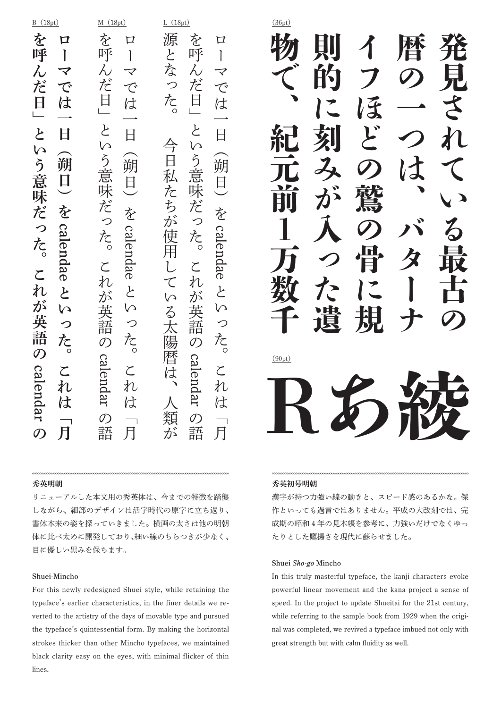#### B(18pt) M (18pt) L (18pt) (36pt) を 源 を を 口  $\Box$ 口 を呼んだ日」という意味だった。これが英語のローマでは一日(朔日)を を呼んだ日」という意味だった。これが英語のローマでは一日(朔日)を源となった。今日私たちが使用している太陽暦は、人類が を呼んだ日」という意味だった。これが英語のローマには、「明日」ということは、「明日」ということは、「明日」ということは、「明日」ということは、「明日」ということは、「明日」ということは、「明日」ということは、「明日」ということは、「明日」とい 呼 呼 呼 と  $\mathbf{I}$  $\mathbf{I}$  $\mathbf{I}$  $\lambda$  $\lambda$ ) 厷  $\lambda$  $\blacktriangledown$  $\overline{\blacktriangledown}$  $\overline{\bm{\mathcal{p}}}$ 龙 だ だ つ で  $\tau$ で 日 た。 日 日 は は は  $\frac{1}{2}$  $\zeta$  $\zeta$ と 日  $\overline{H}$  $\Box$  $\triangle$  $\overline{C}$ M  $\Omega$  $\zeta$ う意味だ  $\overline{H}$ う意 朔 朔 朔 意 私 日 日 日 味 九 味 だ ち だ を を を が っ つ  $\bigcirc$ calendae calendae calendae calendae た。 使 飞。 た。 .<br>用  $\zeta$  $\zeta$  $\mathsf{L}$  $\zeta$  $n$ n  $\overline{\mathsf{C}}$  $\overline{c}$ れ と  $\overline{C}$ ふ が W ぶ …<br>英 英  $\mathsf{b}$ W W  $\zeta$ ,英語 語 語 つ つ つ 太 飞。 飞。 尢 陽  $\mathcal{O}$  $\mathcal{O}$  $\mathcal{O}$ 暦 calendar calendar calendar  $\zeta$  $\zeta$ こ は 扎 九 れ は は は 類  $\mathcal{O}$  $\mathcal{O}$ の語 の語 語 語  $\mathcal{O}$ 月 が 月 月

#### 秀英明朝

リニューアルした本文用の秀英体は、今までの特徴を踏襲 しながら、細部のデザインは活字時代の原字に立ち返り、 書体本来の姿を探っていきました。横画の太さは他の明朝 体に比べ太めに開発しており、細い線のちらつきが少なく、 目に優しい黒みを保ちます。

#### Shuei-Mincho

For this newly redesigned Shuei style, while retaining the typeface's earlier characteristics, in the finer details we reverted to the artistry of the days of movable type and pursued the typeface's quintessential form. By making the horizontal strokes thicker than other Mincho typefaces, we maintained black clarity easy on the eyes, with minimal flicker of thin lines.

Rあ綾 (90pt)

#### 秀英初号明朝

漢字が持つ力強い線の動きと、スピード感のあるかな。傑 作といっても過言ではありません。平成の大改刻では、完 成期の昭和 4 年の見本帳を参考に、力強いだけでなくゆっ たりとした鷹揚さを現代に蘇らせました。

#### Shuei Sho-go Mincho

In this truly masterful typeface, the kanji characters evoke powerful linear movement and the kana project a sense of speed. In the project to update Shueitai for the 21st century, while referring to the sample book from 1929 when the original was completed, we revived a typeface imbued not only with great strength but with calm fluidity as well.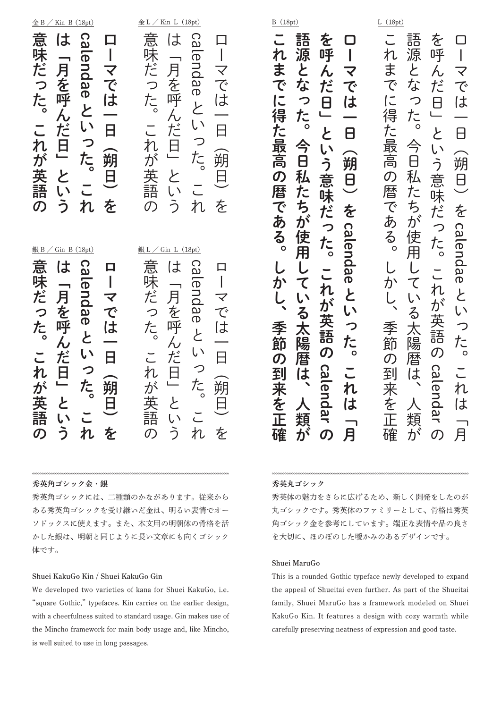$\underline{\textcircled{\texttt{\texttt{\&}}} L \text{ / Kin } L}(18 \text{ pt})$ 

Ca

B (18pt) L (18pt)

語 語 を を 0  $\bar{\phantom{a}}$  $\Box$ ローマでは一日(朔日)を 語源となった。今日私たちが使用している太陽暦は、人類が を使っている。<br>これは「女性の人」という意味だった。<br>これは「女性の人」という意味だった。 源 呼 源 呼  $\overline{1}$ れ  $\overline{1}$ とな ま と ん  $\lambda$  $\overline{\textbf{Y}}$ マ な で だ だ で で  $\overline{\overline{C}}$  $\overline{a}$  $\Theta$ は  $\bigcirc$ は  $\bigcirc$ 得 た。 た。  $\sqcup$ た と と 8 8  $\triangleq$  $\Leftrightarrow$ 最  $\mathsf{L}$ し、 。<br>朔  $\theta$ う 高 8 う 朔 私 私  $\overline{\mathsf{B}}$  $\mathcal{O}$ 意 意  $\theta$ 暦 た た |味だ )味だ ち ち を で を が つが あ っ っ calendae calendae calendae calendae 使用 使用 る。 た。 た。  $\overline{\phantom{a}}$  $\cup$  $\overline{\zeta}$  $\overline{\mathbf{C}}$ か **n** れ  $\overline{\mathcal{L}}$  $\overline{\mathcal{L}}$  $\mathsf{L}$  $\mathsf{L}$ ・<br>が ゙ゕ゙  $\overline{L}$  $\overline{\mathbf{z}}$  $\zeta$  $\overline{L}$ 英語 英語 太陽 太 つ 季 つ 。<br>图 た。 節 た。 の の 暦 暦  $\mathcal{O}$ Ca calendar calendar 到 は は lend. 来 れ れ は を は lar 類 類 正 が 月 が 月  $\boldsymbol{\mathcal{D}}$ 確  $\sigma$ 

#### 秀英丸ゴシック

これまでは得た場所である。しかし、季節の第一次を正確に得た場所である。しかし、季節の第一次を正確に得た場所である。しかし、季節の第一次を正確に得た場所である。しかし、季節の別である。しかし、季節の別で

Ľ

れ

ま

で

 $\overline{\overline{C}}$ 

得

た

,<br>最

高

 $\boldsymbol{\mathcal{D}}$ 

暦

で

あ

る。

L

か

季節

 $\bm{\mathcal{O}}$ 

到

来

を

正

確

語源となった。今日私たちが使用している太陽暦は、人類が

秀英体の魅力をさらに広げるため、新しく開発をしたのが 丸ゴシックです。秀英体のファミリーとして、骨格は秀英 角ゴシック金を参考にしています。端正な表情や品の良さ を大切に、ほのぼのした暖かみのあるデザインです。

#### Shuei MaruGo

This is a rounded Gothic typeface newly developed to expand the appeal of Shueitai even further. As part of the Shueitai family, Shuei MaruGo has a framework modeled on Shuei KakuGo Kin. It features a design with cozy warmth while carefully preserving neatness of expression and good taste.

| 銀 $B/$<br>Gin B (18pt)<br>意味だった。これが英語のは「月を呼んだ日」という<br>calendae といった。これ<br>ローマでは一日(朔日)を | 意味だった。これが英語の<br>は「月を呼んだ日」という<br>calendae といった。これ<br>ローマでは一日 (朔日) を |
|----------------------------------------------------------------------------------------|--------------------------------------------------------------------|
|                                                                                        | 意味だった。これが英語の                                                       |
| <u>銀L / Gin L (18pt)</u><br>意味だった。これが英語のは「月を呼んだ日」という                                   | は「月を呼んだ日」という                                                       |
| calendaeといった。これ                                                                        | calendae といった。これ                                                   |
| ローマでは一日 (朔日) を                                                                         | ローマでは一日 (朔日) を                                                     |

秀英角ゴシック金・銀

秀英角ゴシックには、二種類のかながあります。従来から ある秀英角ゴシックを受け継いだ金は、明るい表情でオー ソドックスに使えます。また、本文用の明朝体の骨格を活 かした銀は、明朝と同じように長い文章にも向くゴシック 体です。

#### Shuei KakuGo Kin / Shuei KakuGo Gin

We developed two varieties of kana for Shuei KakuGo, i.e. "square Gothic," typefaces. Kin carries on the earlier design, with a cheerfulness suited to standard usage. Gin makes use of the Mincho framework for main body usage and, like Mincho, is well suited to use in long passages.